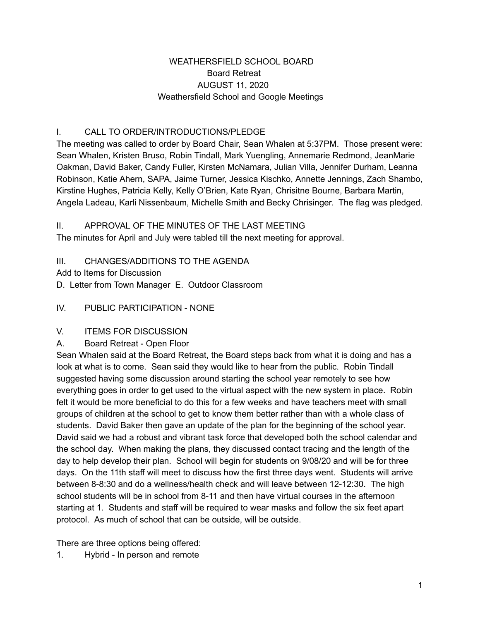## WEATHERSFIELD SCHOOL BOARD Board Retreat AUGUST 11, 2020 Weathersfield School and Google Meetings

# I. CALL TO ORDER/INTRODUCTIONS/PLEDGE

The meeting was called to order by Board Chair, Sean Whalen at 5:37PM. Those present were: Sean Whalen, Kristen Bruso, Robin Tindall, Mark Yuengling, Annemarie Redmond, JeanMarie Oakman, David Baker, Candy Fuller, Kirsten McNamara, Julian Villa, Jennifer Durham, Leanna Robinson, Katie Ahern, SAPA, Jaime Turner, Jessica Kischko, Annette Jennings, Zach Shambo, Kirstine Hughes, Patricia Kelly, Kelly O'Brien, Kate Ryan, Chrisitne Bourne, Barbara Martin, Angela Ladeau, Karli Nissenbaum, Michelle Smith and Becky Chrisinger. The flag was pledged.

### II. APPROVAL OF THE MINUTES OF THE LAST MEETING

The minutes for April and July were tabled till the next meeting for approval.

## III. CHANGES/ADDITIONS TO THE AGENDA

Add to Items for Discussion

D. Letter from Town Manager E. Outdoor Classroom

IV. PUBLIC PARTICIPATION - NONE

## V. ITEMS FOR DISCUSSION

#### A. Board Retreat - Open Floor

Sean Whalen said at the Board Retreat, the Board steps back from what it is doing and has a look at what is to come. Sean said they would like to hear from the public. Robin Tindall suggested having some discussion around starting the school year remotely to see how everything goes in order to get used to the virtual aspect with the new system in place. Robin felt it would be more beneficial to do this for a few weeks and have teachers meet with small groups of children at the school to get to know them better rather than with a whole class of students. David Baker then gave an update of the plan for the beginning of the school year. David said we had a robust and vibrant task force that developed both the school calendar and the school day. When making the plans, they discussed contact tracing and the length of the day to help develop their plan. School will begin for students on 9/08/20 and will be for three days. On the 11th staff will meet to discuss how the first three days went. Students will arrive between 8-8:30 and do a wellness/health check and will leave between 12-12:30. The high school students will be in school from 8-11 and then have virtual courses in the afternoon starting at 1. Students and staff will be required to wear masks and follow the six feet apart protocol. As much of school that can be outside, will be outside.

There are three options being offered:

1. Hybrid - In person and remote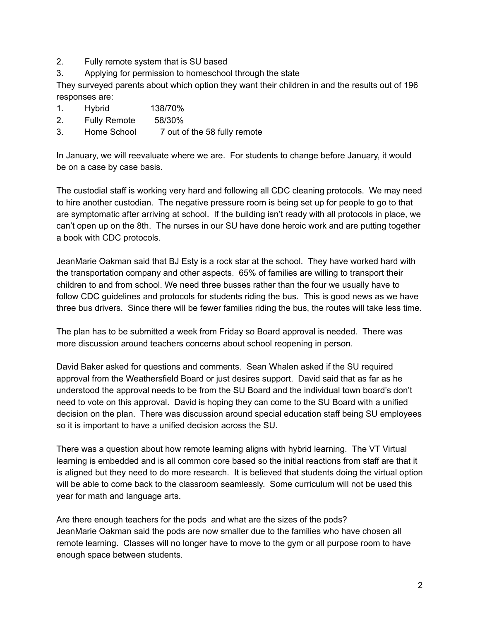- 2. Fully remote system that is SU based
- 3. Applying for permission to homeschool through the state

They surveyed parents about which option they want their children in and the results out of 196 responses are:

- 1. Hybrid 138/70%
- 2. Fully Remote 58/30%
- 3. Home School 7 out of the 58 fully remote

In January, we will reevaluate where we are. For students to change before January, it would be on a case by case basis.

The custodial staff is working very hard and following all CDC cleaning protocols. We may need to hire another custodian. The negative pressure room is being set up for people to go to that are symptomatic after arriving at school. If the building isn't ready with all protocols in place, we can't open up on the 8th. The nurses in our SU have done heroic work and are putting together a book with CDC protocols.

JeanMarie Oakman said that BJ Esty is a rock star at the school. They have worked hard with the transportation company and other aspects. 65% of families are willing to transport their children to and from school. We need three busses rather than the four we usually have to follow CDC guidelines and protocols for students riding the bus. This is good news as we have three bus drivers. Since there will be fewer families riding the bus, the routes will take less time.

The plan has to be submitted a week from Friday so Board approval is needed. There was more discussion around teachers concerns about school reopening in person.

David Baker asked for questions and comments. Sean Whalen asked if the SU required approval from the Weathersfield Board or just desires support. David said that as far as he understood the approval needs to be from the SU Board and the individual town board's don't need to vote on this approval. David is hoping they can come to the SU Board with a unified decision on the plan. There was discussion around special education staff being SU employees so it is important to have a unified decision across the SU.

There was a question about how remote learning aligns with hybrid learning. The VT Virtual learning is embedded and is all common core based so the initial reactions from staff are that it is aligned but they need to do more research. It is believed that students doing the virtual option will be able to come back to the classroom seamlessly. Some curriculum will not be used this year for math and language arts.

Are there enough teachers for the pods and what are the sizes of the pods? JeanMarie Oakman said the pods are now smaller due to the families who have chosen all remote learning. Classes will no longer have to move to the gym or all purpose room to have enough space between students.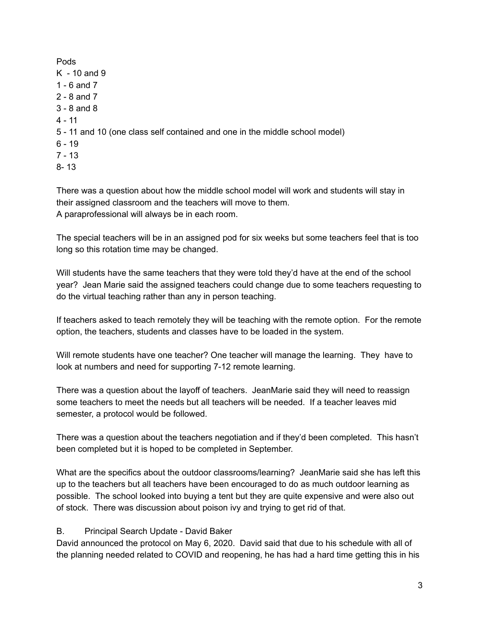Pods  $K - 10$  and 9 1 - 6 and 7 2 - 8 and 7 3 - 8 and 8 4 - 11 5 - 11 and 10 (one class self contained and one in the middle school model)  $6 - 19$  $7 - 13$ 8- 13

There was a question about how the middle school model will work and students will stay in their assigned classroom and the teachers will move to them. A paraprofessional will always be in each room.

The special teachers will be in an assigned pod for six weeks but some teachers feel that is too long so this rotation time may be changed.

Will students have the same teachers that they were told they'd have at the end of the school year? Jean Marie said the assigned teachers could change due to some teachers requesting to do the virtual teaching rather than any in person teaching.

If teachers asked to teach remotely they will be teaching with the remote option. For the remote option, the teachers, students and classes have to be loaded in the system.

Will remote students have one teacher? One teacher will manage the learning. They have to look at numbers and need for supporting 7-12 remote learning.

There was a question about the layoff of teachers. JeanMarie said they will need to reassign some teachers to meet the needs but all teachers will be needed. If a teacher leaves mid semester, a protocol would be followed.

There was a question about the teachers negotiation and if they'd been completed. This hasn't been completed but it is hoped to be completed in September.

What are the specifics about the outdoor classrooms/learning? JeanMarie said she has left this up to the teachers but all teachers have been encouraged to do as much outdoor learning as possible. The school looked into buying a tent but they are quite expensive and were also out of stock. There was discussion about poison ivy and trying to get rid of that.

#### B. Principal Search Update - David Baker

David announced the protocol on May 6, 2020. David said that due to his schedule with all of the planning needed related to COVID and reopening, he has had a hard time getting this in his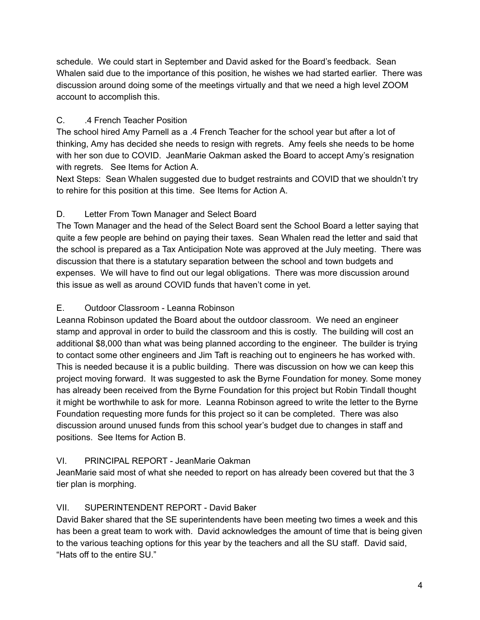schedule. We could start in September and David asked for the Board's feedback. Sean Whalen said due to the importance of this position, he wishes we had started earlier. There was discussion around doing some of the meetings virtually and that we need a high level ZOOM account to accomplish this.

# C. .4 French Teacher Position

The school hired Amy Parnell as a .4 French Teacher for the school year but after a lot of thinking, Amy has decided she needs to resign with regrets. Amy feels she needs to be home with her son due to COVID. JeanMarie Oakman asked the Board to accept Amy's resignation with regrets. See Items for Action A.

Next Steps: Sean Whalen suggested due to budget restraints and COVID that we shouldn't try to rehire for this position at this time. See Items for Action A.

# D. Letter From Town Manager and Select Board

The Town Manager and the head of the Select Board sent the School Board a letter saying that quite a few people are behind on paying their taxes. Sean Whalen read the letter and said that the school is prepared as a Tax Anticipation Note was approved at the July meeting. There was discussion that there is a statutary separation between the school and town budgets and expenses. We will have to find out our legal obligations. There was more discussion around this issue as well as around COVID funds that haven't come in yet.

## E. Outdoor Classroom - Leanna Robinson

Leanna Robinson updated the Board about the outdoor classroom. We need an engineer stamp and approval in order to build the classroom and this is costly. The building will cost an additional \$8,000 than what was being planned according to the engineer. The builder is trying to contact some other engineers and Jim Taft is reaching out to engineers he has worked with. This is needed because it is a public building. There was discussion on how we can keep this project moving forward. It was suggested to ask the Byrne Foundation for money. Some money has already been received from the Byrne Foundation for this project but Robin Tindall thought it might be worthwhile to ask for more. Leanna Robinson agreed to write the letter to the Byrne Foundation requesting more funds for this project so it can be completed. There was also discussion around unused funds from this school year's budget due to changes in staff and positions. See Items for Action B.

## VI. PRINCIPAL REPORT - JeanMarie Oakman

JeanMarie said most of what she needed to report on has already been covered but that the 3 tier plan is morphing.

## VII. SUPERINTENDENT REPORT - David Baker

David Baker shared that the SE superintendents have been meeting two times a week and this has been a great team to work with. David acknowledges the amount of time that is being given to the various teaching options for this year by the teachers and all the SU staff. David said, "Hats off to the entire SU."